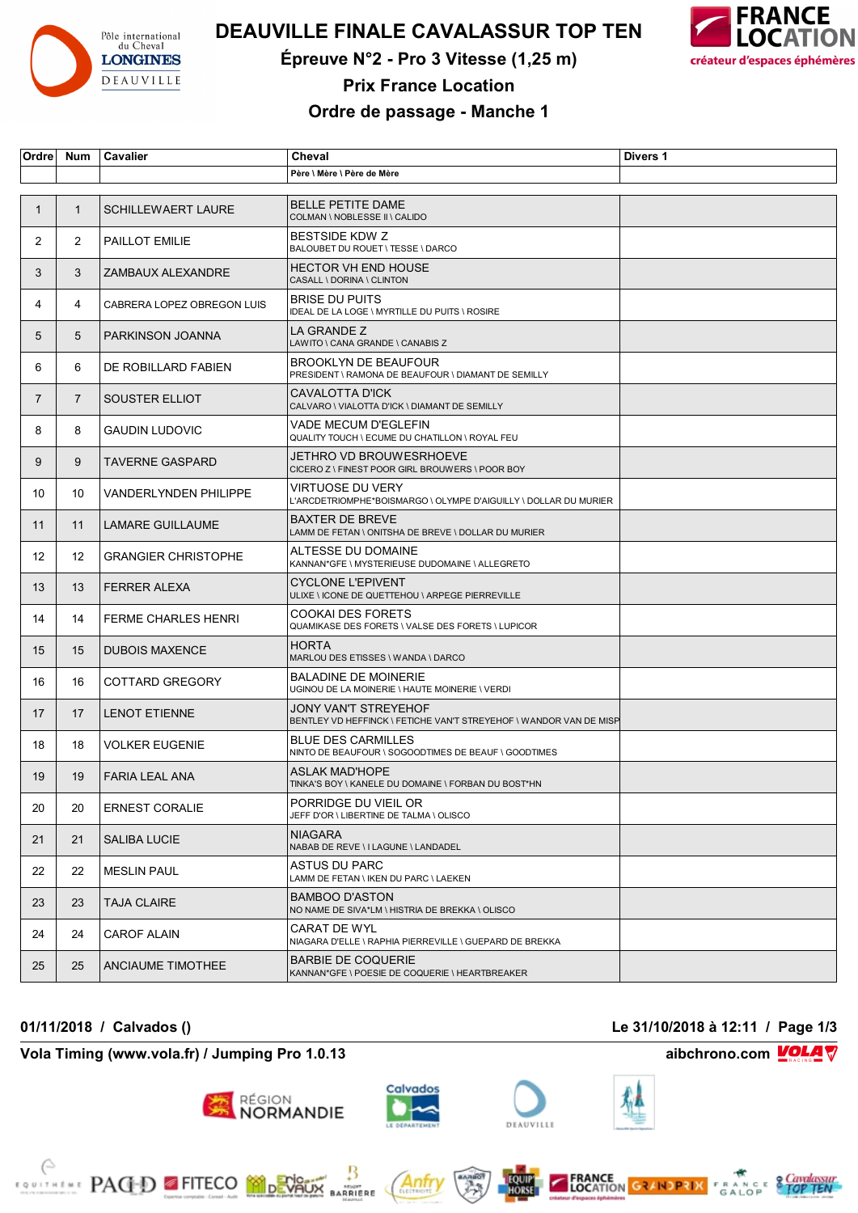

# **DEAUVILLE FINALE CAVALASSUR TOP TEN**

**Épreuve N°2 - Pro 3 Vitesse (1,25 m)**



**Prix France Location**

### **Ordre de passage - Manche 1**

| Ordre          | <b>Num</b>     | Cavalier                     | Cheval                                                                                     | Divers 1 |
|----------------|----------------|------------------------------|--------------------------------------------------------------------------------------------|----------|
|                |                |                              | Père \ Mère \ Père de Mère                                                                 |          |
|                |                |                              |                                                                                            |          |
| 1              | $\mathbf{1}$   | <b>SCHILLEWAERT LAURE</b>    | <b>BELLE PETITE DAME</b><br>COLMAN \ NOBLESSE II \ CALIDO                                  |          |
| $\mathbf{2}$   | $\overline{2}$ | PAILLOT EMILIE               | <b>BESTSIDE KDW Z</b><br>BALOUBET DU ROUET \ TESSE \ DARCO                                 |          |
| 3              | 3              | ZAMBAUX ALEXANDRE            | <b>HECTOR VH END HOUSE</b><br>CASALL \ DORINA \ CLINTON                                    |          |
| 4              | 4              | CABRERA LOPEZ OBREGON LUIS   | <b>BRISE DU PUITS</b><br>IDEAL DE LA LOGE \ MYRTILLE DU PUITS \ ROSIRE                     |          |
| 5              | 5              | PARKINSON JOANNA             | LA GRANDE Z<br>LAWITO \ CANA GRANDE \ CANABIS Z                                            |          |
| 6              | 6              | DE ROBILLARD FABIEN          | <b>BROOKLYN DE BEAUFOUR</b><br>PRESIDENT \ RAMONA DE BEAUFOUR \ DIAMANT DE SEMILLY         |          |
| $\overline{7}$ | $\overline{7}$ | SOUSTER ELLIOT               | CAVALOTTA D'ICK<br>CALVARO \ VIALOTTA D'ICK \ DIAMANT DE SEMILLY                           |          |
| 8              | 8              | <b>GAUDIN LUDOVIC</b>        | VADE MECUM D'EGLEFIN<br>QUALITY TOUCH \ ECUME DU CHATILLON \ ROYAL FEU                     |          |
| 9              | 9              | TAVERNE GASPARD              | JETHRO VD BROUWESRHOEVE<br>CICERO Z \ FINEST POOR GIRL BROUWERS \ POOR BOY                 |          |
| 10             | 10             | <b>VANDERLYNDEN PHILIPPE</b> | VIRTUOSE DU VERY<br>L'ARCDETRIOMPHE*BOISMARGO \ OLYMPE D'AIGUILLY \ DOLLAR DU MURIER       |          |
| 11             | 11             | <b>LAMARE GUILLAUME</b>      | <b>BAXTER DE BREVE</b><br>LAMM DE FETAN \ ONITSHA DE BREVE \ DOLLAR DU MURIER              |          |
| 12             | 12             | <b>GRANGIER CHRISTOPHE</b>   | ALTESSE DU DOMAINE<br>KANNAN*GFE \ MYSTERIEUSE DUDOMAINE \ ALLEGRETO                       |          |
| 13             | 13             | <b>FERRER ALEXA</b>          | <b>CYCLONE L'EPIVENT</b><br>ULIXE \ ICONE DE QUETTEHOU \ ARPEGE PIERREVILLE                |          |
| 14             | 14             | <b>FERME CHARLES HENRI</b>   | COOKAI DES FORETS<br>QUAMIKASE DES FORETS \ VALSE DES FORETS \ LUPICOR                     |          |
| 15             | 15             | <b>DUBOIS MAXENCE</b>        | <b>HORTA</b><br>MARLOU DES ETISSES \ WANDA \ DARCO                                         |          |
| 16             | 16             | COTTARD GREGORY              | <b>BALADINE DE MOINERIE</b><br>UGINOU DE LA MOINERIE \ HAUTE MOINERIE \ VERDI              |          |
| 17             | 17             | <b>LENOT ETIENNE</b>         | JONY VAN'T STREYEHOF<br>BENTLEY VD HEFFINCK \ FETICHE VAN'T STREYEHOF \ WANDOR VAN DE MISP |          |
| 18             | 18             | <b>VOLKER EUGENIE</b>        | <b>BLUE DES CARMILLES</b><br>NINTO DE BEAUFOUR \ SOGOODTIMES DE BEAUF \ GOODTIMES          |          |
| 19             | 19             | <b>FARIA LEAL ANA</b>        | <b>ASLAK MAD'HOPE</b><br>TINKA'S BOY \ KANELE DU DOMAINE \ FORBAN DU BOST*HN               |          |
| 20             | 20             | <b>ERNEST CORALIE</b>        | PORRIDGE DU VIEIL OR<br>JEFF D'OR \ LIBERTINE DE TALMA \ OLISCO                            |          |
| 21             | 21             | <b>SALIBA LUCIE</b>          | <b>NIAGARA</b><br>NABAB DE REVE \ I LAGUNE \ LANDADEL                                      |          |
| 22             | 22             | <b>MESLIN PAUL</b>           | ASTUS DU PARC<br>LAMM DE FETAN \ IKEN DU PARC \ LAEKEN                                     |          |
| 23             | 23             | TAJA CLAIRE                  | <b>BAMBOO D'ASTON</b><br>NO NAME DE SIVA*LM \ HISTRIA DE BREKKA \ OLISCO                   |          |
| 24             | 24             | <b>CAROF ALAIN</b>           | CARAT DE WYL<br>NIAGARA D'ELLE \ RAPHIA PIERREVILLE \ GUEPARD DE BREKKA                    |          |
| 25             | 25             | ANCIAUME TIMOTHEE            | <b>BARBIE DE COQUERIE</b><br>KANNAN*GFE \ POESIE DE COQUERIE \ HEARTBREAKER                |          |

**Vola Timing (www.vola.fr) / Jumping Pro 1.0.13 aibchrono.com VOLA** 

**EXAMPLE PAGED FITECO MODEVALLE** 











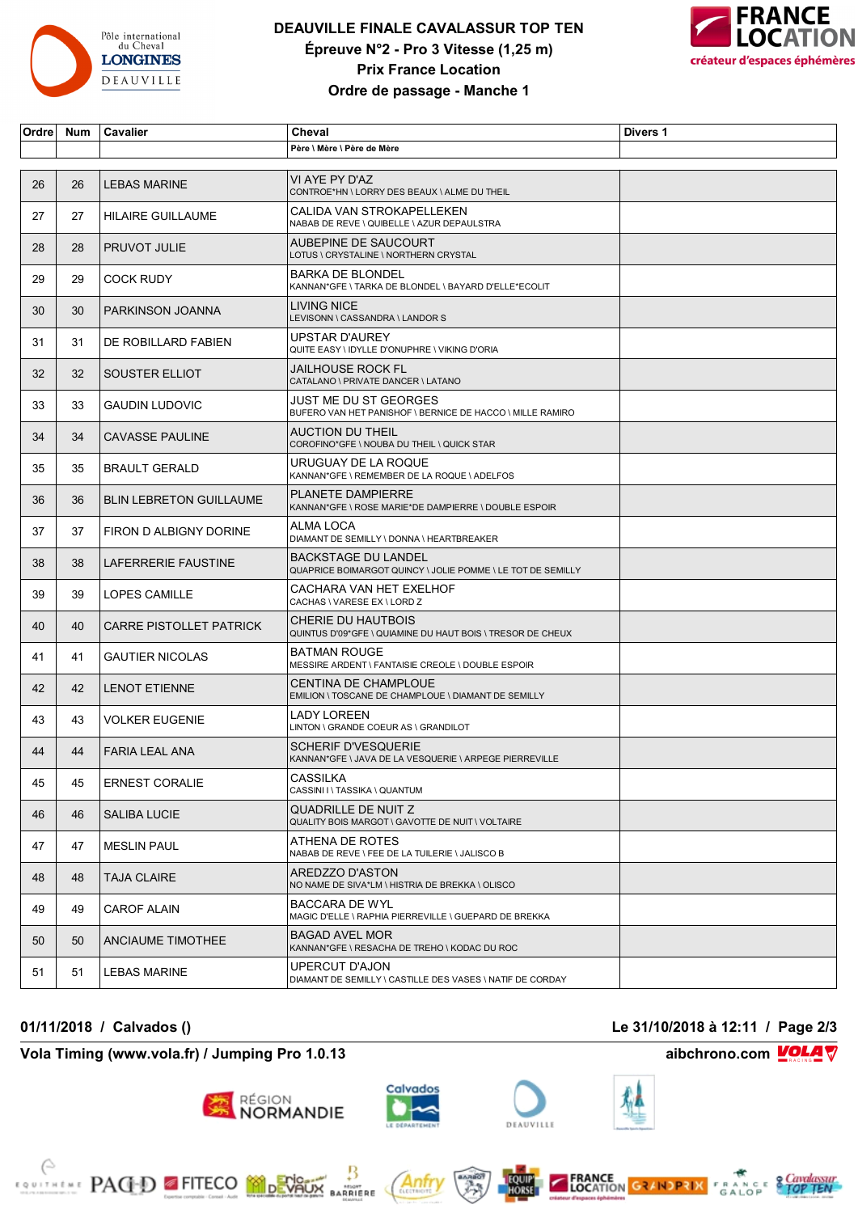

## **DEAUVILLE FINALE CAVALASSUR TOP TEN Épreuve N°2 - Pro 3 Vitesse (1,25 m) Prix France Location Ordre de passage - Manche 1**



| Ordre | Num | Cavalier                       | Cheval                                                                                    | Divers 1 |
|-------|-----|--------------------------------|-------------------------------------------------------------------------------------------|----------|
|       |     |                                | Père \ Mère \ Père de Mère                                                                |          |
|       |     |                                |                                                                                           |          |
| 26    | 26  | <b>LEBAS MARINE</b>            | VI AYE PY D'AZ<br>CONTROE*HN \ LORRY DES BEAUX \ ALME DU THEIL                            |          |
| 27    | 27  | <b>HILAIRE GUILLAUME</b>       | CALIDA VAN STROKAPELLEKEN<br>NABAB DE REVE \ QUIBELLE \ AZUR DEPAULSTRA                   |          |
| 28    | 28  | <b>PRUVOT JULIE</b>            | AUBEPINE DE SAUCOURT<br>LOTUS \ CRYSTALINE \ NORTHERN CRYSTAL                             |          |
| 29    | 29  | <b>COCK RUDY</b>               | <b>BARKA DE BLONDEL</b><br>KANNAN*GFE \ TARKA DE BLONDEL \ BAYARD D'ELLE*ECOLIT           |          |
| 30    | 30  | PARKINSON JOANNA               | <b>LIVING NICE</b><br>LEVISONN \ CASSANDRA \ LANDOR S                                     |          |
| 31    | 31  | DE ROBILLARD FABIEN            | UPSTAR D'AUREY<br>QUITE EASY \ IDYLLE D'ONUPHRE \ VIKING D'ORIA                           |          |
| 32    | 32  | SOUSTER ELLIOT                 | JAILHOUSE ROCK FL<br>CATALANO \ PRIVATE DANCER \ LATANO                                   |          |
| 33    | 33  | <b>GAUDIN LUDOVIC</b>          | JUST ME DU ST GEORGES<br>BUFERO VAN HET PANISHOF \ BERNICE DE HACCO \ MILLE RAMIRO        |          |
| 34    | 34  | <b>CAVASSE PAULINE</b>         | AUCTION DU THEIL<br>COROFINO*GFE \ NOUBA DU THEIL \ QUICK STAR                            |          |
| 35    | 35  | <b>BRAULT GERALD</b>           | URUGUAY DE LA ROQUE<br>KANNAN*GFE \ REMEMBER DE LA ROQUE \ ADELFOS                        |          |
| 36    | 36  | <b>BLIN LEBRETON GUILLAUME</b> | <b>PLANETE DAMPIERRE</b><br>KANNAN*GFE \ ROSE MARIE*DE DAMPIERRE \ DOUBLE ESPOIR          |          |
| 37    | 37  | FIRON D ALBIGNY DORINE         | ALMA LOCA<br>DIAMANT DE SEMILLY \ DONNA \ HEARTBREAKER                                    |          |
| 38    | 38  | LAFERRERIE FAUSTINE            | <b>BACKSTAGE DU LANDEL</b><br>QUAPRICE BOIMARGOT QUINCY \ JOLIE POMME \ LE TOT DE SEMILLY |          |
| 39    | 39  | <b>LOPES CAMILLE</b>           | CACHARA VAN HET EXELHOF<br>CACHAS \ VARESE EX \ LORD Z                                    |          |
| 40    | 40  | <b>CARRE PISTOLLET PATRICK</b> | CHERIE DU HAUTBOIS<br>QUINTUS D'09*GFE \ QUIAMINE DU HAUT BOIS \ TRESOR DE CHEUX          |          |
| 41    | 41  | <b>GAUTIER NICOLAS</b>         | <b>BATMAN ROUGE</b><br>MESSIRE ARDENT \ FANTAISIE CREOLE \ DOUBLE ESPOIR                  |          |
| 42    | 42  | <b>LENOT ETIENNE</b>           | <b>CENTINA DE CHAMPLOUE</b><br>EMILION \ TOSCANE DE CHAMPLOUE \ DIAMANT DE SEMILLY        |          |
| 43    | 43  | <b>VOLKER EUGENIE</b>          | LADY LOREEN<br>LINTON \ GRANDE COEUR AS \ GRANDILOT                                       |          |
| 44    | 44  | <b>FARIA LEAL ANA</b>          | SCHERIF D'VESQUERIE<br>KANNAN*GFE \ JAVA DE LA VESQUERIE \ ARPEGE PIERREVILLE             |          |
| 45    | 45  | <b>ERNEST CORALIE</b>          | CASSILKA<br>CASSINI I \ TASSIKA \ QUANTUM                                                 |          |
| 46    | 46  | <b>SALIBA LUCIE</b>            | QUADRILLE DE NUIT Z<br>QUALITY BOIS MARGOT \ GAVOTTE DE NUIT \ VOLTAIRE                   |          |
| 47    | 47  | <b>MESLIN PAUL</b>             | ATHENA DE ROTES<br>NABAB DE REVE \ FEE DE LA TUILERIE \ JALISCO B                         |          |
| 48    | 48  | TAJA CLAIRE                    | AREDZZO D'ASTON<br>NO NAME DE SIVA*LM \ HISTRIA DE BREKKA \ OLISCO                        |          |
| 49    | 49  | <b>CAROF ALAIN</b>             | <b>BACCARA DE WYL</b><br>MAGIC D'ELLE \ RAPHIA PIERREVILLE \ GUEPARD DE BREKKA            |          |
| 50    | 50  | <b>ANCIAUME TIMOTHEE</b>       | <b>BAGAD AVEL MOR</b><br>KANNAN*GFE \ RESACHA DE TREHO \ KODAC DU ROC                     |          |
| 51    | 51  | LEBAS MARINE                   | UPERCUT D'AJON<br>DIAMANT DE SEMILLY \ CASTILLE DES VASES \ NATIF DE CORDAY               |          |

### **Vola Timing (www.vola.fr) / Jumping Pro 1.0.13 aibchrono.com VOLA**

**EXAMPLE PACED FITECO MORVALLE** 



**RÉGION**<br>NORMANDIE



Anfr

₿

**MARRIERE**